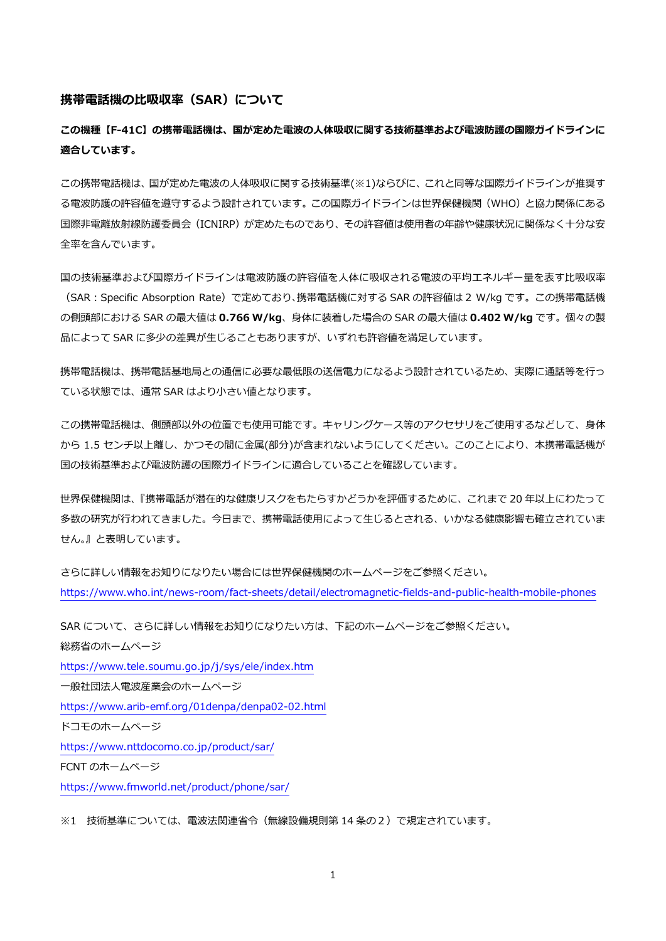## **携帯電話機の比吸収率(SAR)について**

**この機種【F-41C】の携帯電話機は、国が定めた電波の人体吸収に関する技術基準および電波防護の国際ガイドラインに 適合しています。**

この携帯電話機は、国が定めた電波の人体吸収に関する技術基準(※1)ならびに、これと同等な国際ガイドラインが推奨す る電波防護の許容値を遵守するよう設計されています。この国際ガイドラインは世界保健機関(WHO)と協力関係にある 国際非電離放射線防護委員会(ICNIRP)が定めたものであり、その許容値は使用者の年齢や健康状況に関係なく十分な安 全率を含んでいます。

国の技術基準および国際ガイドラインは電波防護の許容値を人体に吸収される電波の平均エネルギー量を表す比吸収率 (SAR:Specific Absorption Rate)で定めており、携帯電話機に対する SAR の許容値は 2 W/kg です。この携帯電話機 の側頭部における SAR の最大値は **0.766 W/kg**、身体に装着した場合の SAR の最大値は **0.402 W/kg** です。個々の製 品によって SAR に多少の差異が生じることもありますが、いずれも許容値を満足しています。

携帯電話機は、携帯電話基地局との通信に必要な最低限の送信電力になるよう設計されているため、実際に通話等を行っ ている状態では、通常 SAR はより小さい値となります。

この携帯電話機は、側頭部以外の位置でも使用可能です。キャリングケース等のアクセサリをご使用するなどして、身体 から 1.5 センチ以上離し、かつその間に金属(部分)が含まれないようにしてください。このことにより、本携帯電話機が 国の技術基準および電波防護の国際ガイドラインに適合していることを確認しています。

世界保健機関は、『携帯電話が潜在的な健康リスクをもたらすかどうかを評価するために、これまで 20 年以上にわたって 多数の研究が行われてきました。今日まで、携帯電話使用によって生じるとされる、いかなる健康影響も確立されていま せん。』と表明しています。

さらに詳しい情報をお知りになりたい場合には世界保健機関のホームページをご参照ください。 <https://www.who.int/news-room/fact-sheets/detail/electromagnetic-fields-and-public-health-mobile-phones>

SAR について、さらに詳しい情報をお知りになりたい方は、下記のホームページをご参照ください。 総務省のホームページ <https://www.tele.soumu.go.jp/j/sys/ele/index.htm> 一般社団法人電波産業会のホームページ <https://www.arib-emf.org/01denpa/denpa02-02.html> ドコモのホームページ <https://www.nttdocomo.co.jp/product/sar/> FCNT のホームページ <https://www.fmworld.net/product/phone/sar/>

※1 技術基準については、電波法関連省令(無線設備規則第 14 条の2)で規定されています。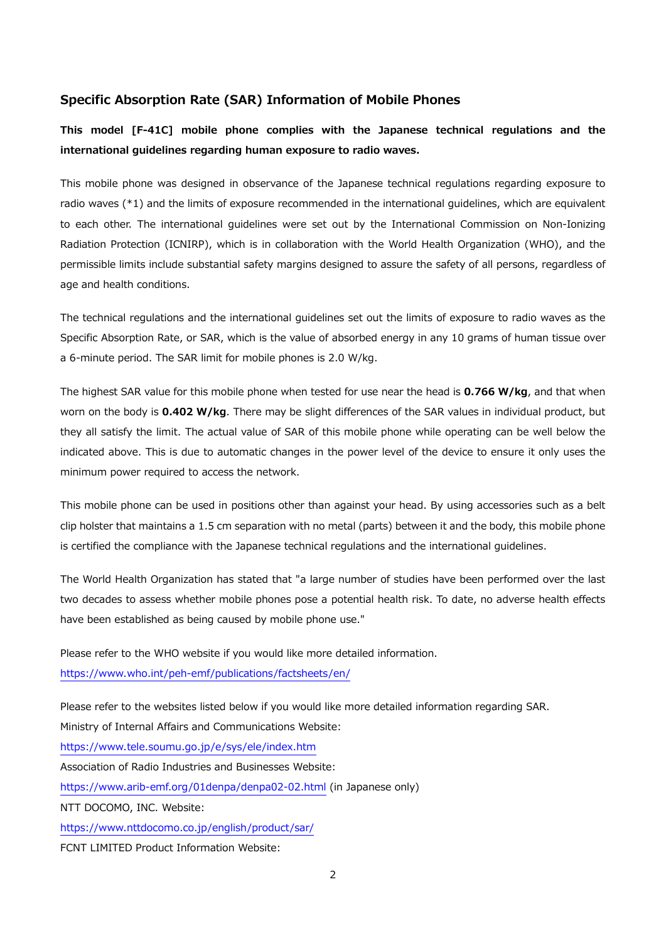## **Specific Absorption Rate (SAR) Information of Mobile Phones**

**This model [F-41C] mobile phone complies with the Japanese technical regulations and the international guidelines regarding human exposure to radio waves.**

This mobile phone was designed in observance of the Japanese technical regulations regarding exposure to radio waves (\*1) and the limits of exposure recommended in the international guidelines, which are equivalent to each other. The international guidelines were set out by the International Commission on Non-Ionizing Radiation Protection (ICNIRP), which is in collaboration with the World Health Organization (WHO), and the permissible limits include substantial safety margins designed to assure the safety of all persons, regardless of age and health conditions.

The technical regulations and the international guidelines set out the limits of exposure to radio waves as the Specific Absorption Rate, or SAR, which is the value of absorbed energy in any 10 grams of human tissue over a 6-minute period. The SAR limit for mobile phones is 2.0 W/kg.

The highest SAR value for this mobile phone when tested for use near the head is **0.766 W/kg**, and that when worn on the body is **0.402 W/kg**. There may be slight differences of the SAR values in individual product, but they all satisfy the limit. The actual value of SAR of this mobile phone while operating can be well below the indicated above. This is due to automatic changes in the power level of the device to ensure it only uses the minimum power required to access the network.

This mobile phone can be used in positions other than against your head. By using accessories such as a belt clip holster that maintains a 1.5 cm separation with no metal (parts) between it and the body, this mobile phone is certified the compliance with the Japanese technical regulations and the international guidelines.

The World Health Organization has stated that "a large number of studies have been performed over the last two decades to assess whether mobile phones pose a potential health risk. To date, no adverse health effects have been established as being caused by mobile phone use."

Please refer to the WHO website if you would like more detailed information. <https://www.who.int/peh-emf/publications/factsheets/en/>

Please refer to the websites listed below if you would like more detailed information regarding SAR. Ministry of Internal Affairs and Communications Website: <https://www.tele.soumu.go.jp/e/sys/ele/index.htm> Association of Radio Industries and Businesses Website: <https://www.arib-emf.org/01denpa/denpa02-02.html> (in Japanese only) NTT DOCOMO, INC. Website: <https://www.nttdocomo.co.jp/english/product/sar/> FCNT LIMITED Product Information Website: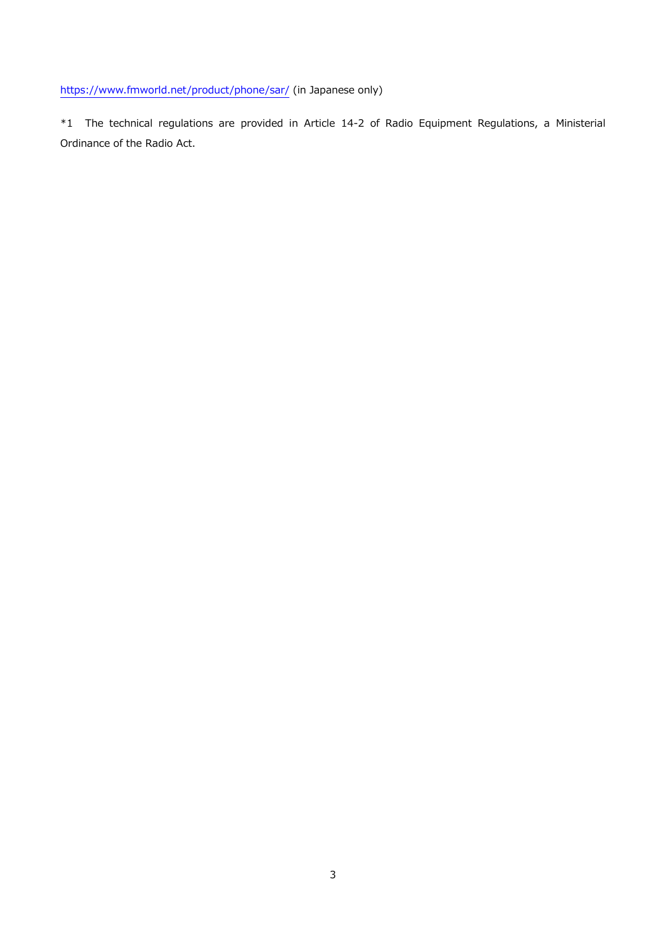<https://www.fmworld.net/product/phone/sar/> (in Japanese only)

\*1 The technical regulations are provided in Article 14-2 of Radio Equipment Regulations, a Ministerial Ordinance of the Radio Act.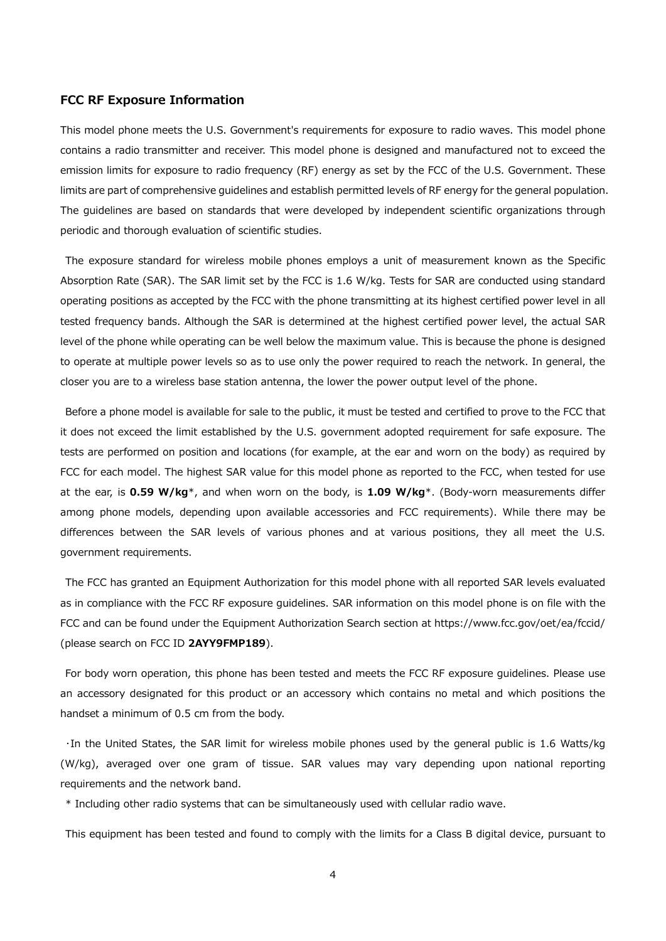## **FCC RF Exposure Information**

This model phone meets the U.S. Government's requirements for exposure to radio waves. This model phone contains a radio transmitter and receiver. This model phone is designed and manufactured not to exceed the emission limits for exposure to radio frequency (RF) energy as set by the FCC of the U.S. Government. These limits are part of comprehensive guidelines and establish permitted levels of RF energy for the general population. The guidelines are based on standards that were developed by independent scientific organizations through periodic and thorough evaluation of scientific studies.

The exposure standard for wireless mobile phones employs a unit of measurement known as the Specific Absorption Rate (SAR). The SAR limit set by the FCC is 1.6 W/kg. Tests for SAR are conducted using standard operating positions as accepted by the FCC with the phone transmitting at its highest certified power level in all tested frequency bands. Although the SAR is determined at the highest certified power level, the actual SAR level of the phone while operating can be well below the maximum value. This is because the phone is designed to operate at multiple power levels so as to use only the power required to reach the network. In general, the closer you are to a wireless base station antenna, the lower the power output level of the phone.

Before a phone model is available for sale to the public, it must be tested and certified to prove to the FCC that it does not exceed the limit established by the U.S. government adopted requirement for safe exposure. The tests are performed on position and locations (for example, at the ear and worn on the body) as required by FCC for each model. The highest SAR value for this model phone as reported to the FCC, when tested for use at the ear, is **0.59 W/kg**\*, and when worn on the body, is **1.09 W/kg**\*. (Body-worn measurements differ among phone models, depending upon available accessories and FCC requirements). While there may be differences between the SAR levels of various phones and at various positions, they all meet the U.S. government requirements.

The FCC has granted an Equipment Authorization for this model phone with all reported SAR levels evaluated as in compliance with the FCC RF exposure guidelines. SAR information on this model phone is on file with the FCC and can be found under the Equipment Authorization Search section at https://www.fcc.gov/oet/ea/fccid/ (please search on FCC ID **2AYY9FMP189**).

For body worn operation, this phone has been tested and meets the FCC RF exposure guidelines. Please use an accessory designated for this product or an accessory which contains no metal and which positions the handset a minimum of 0.5 cm from the body.

・In the United States, the SAR limit for wireless mobile phones used by the general public is 1.6 Watts/kg (W/kg), averaged over one gram of tissue. SAR values may vary depending upon national reporting requirements and the network band.

\* Including other radio systems that can be simultaneously used with cellular radio wave.

This equipment has been tested and found to comply with the limits for a Class B digital device, pursuant to